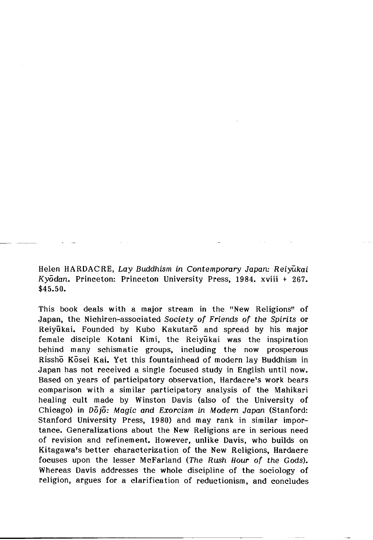Helen HARDACRE, *Lay Buddhism in Contemporary Japan: Reiyukai Kyddan.* Princeton: Princeton University Press, 1984. xviii + 267. \$45.50.

This book deals with a major stream in the "New Religions" of Japan, the Nichiren-associated *Society of Friends of the Spirits* or Reiyūkai. Founded by Kubo Kakutaro and spread by his major female disciple Kotani Kimi, the Reiyukai was the inspiration behind many schismatic groups, including the now prosperous Rissho Kosei Kai. Yet this fountainhead of modern lay Buddhism in Japan has not received a single focused study in English until now. Based on years of participatory observation, Hardacre's work bears comparison with a similar participatory analysis of the Mahikari healing cult made by Winston Davis (also of the University of Chicago) in  $D\overline{0}$ *i*<sub>0</sub>: Magic and Exorcism in Modern Japan (Stanford: Stanford University Press, 1980) and may rank in similar importance. Generalizations about the New Religions are in serious need of revision and refinement. However, unlike Davis, who builds on Kitagawa's better characterization of the New Religions, Hardacre focuses upon the lesser McFarland (The *Rush Hour of the Gods).* Whereas Davis addresses the whole discipline of the sociology of religion, argues for a clarification of reductionism, and concludes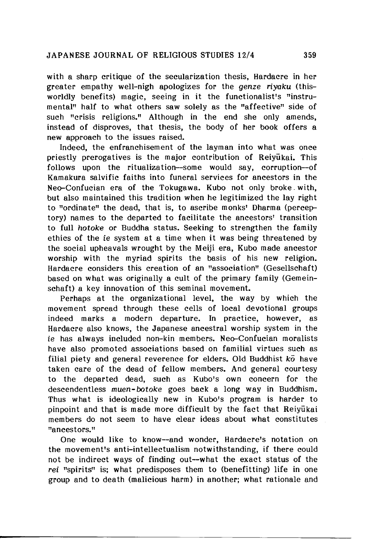with a sharp critique of the secularization thesis, Hardacre in her greater empathy well-nigh apologizes for the *genze* riyaku (thisworldly benefits) magic, seeing in it the functionalist's "instrumental" half to what others saw solely as the "affective" side of such "crisis religions." Although in the end she only amends, instead of disproves, that thesis, the body of her book offers a new approach to the issues raised.

Indeed, the enfranchisement of the layman into what was once priestly prerogatives is the major contribution of Reiyukai. This follows upon the ritualization—some would say, corruption—of Kamakura salvific faiths into funeral services for ancestors in the Neo-Confucian era of the Tokugawa. Kubo not only broke. with, but also maintained this tradition when he legitimized the lay right to "ordinate" the dead, that is, to ascribe monks' Dharma (perceptory) names to the departed to facilitate the ancestors' transition to full *hotoke* op Buddha status. Seeking to strengthen the family ethics of the *ie* system at a time when it was being threatened by the social upheavals wrought by the Meiji era, Kubo made ancestor worship with the myriad spirits the basis of his new religion. Hardacre considers this creation of an "association" (Gesellschaft) based on what was originally a cult of the primary family (Gemeinschaft) a key innovation of this seminal movement.

Perhaps at the organizational level, the way by which the movement spread through these cells of local devotional groups indeed marks a modern departure. In practice, however, as Hardacre also knows, the Japanese ancestral worship system in the *ie* has always included non-kin members. Neo-Confucian moralists have also promoted associations based on familial virtues such as filial piety and general reverence for elders. Old Buddhist *ko* have taken care of the dead of fellow members. And general courtesy to the departed dead, such as Kubo's own concern for the descendentless *muen-botoke* goes back a long way in Buddhism. Thus what is ideologically new in Kubo's program is harder to pinpoint and that is made more difficult by the fact that Reiyukai members do not seem to have clear ideas about what constitutes "ancestors."

One would like to know--and wonder, Hardacre's notation on the movement's anti-intellectualism notwithstanding, if there could not be indirect ways of finding out—what the exact status of the *rei* "spirits" is; what predisposes them to (benefitting) life in one group and to death (malicious harm) in another; what rationale and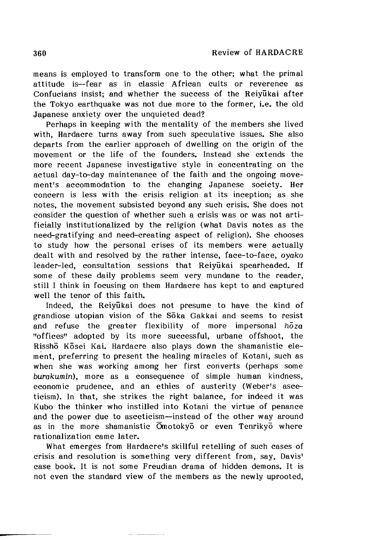means is employed to transform one to the other; what the primal attitude is— fear as in classic African cults or reverence as Confucians insist; and whether the success of the Reiyukai after the Tokyo earthquake was not due more to the former, i.e. the old Japanese anxiety over the unquieted dead?

Perhaps in keeping with the mentality of the members she lived with, Hardacre turns away from such speculative issues. She also departs from the earlier approach of dwelling on the origin of the movement or the life of the founders. Instead she extends the more recent Japanese investigative style in concentrating on the actual day-to-day maintenance of the faith and the ongoing movement's accommodation to the changing Japanese society. Her concern is less with the crisis religion at its inception; as she notes, the movement subsisted beyond any such crisis. She does not consider the question of whether such a crisis was or was not artificially institutionalized by the religion (what Davis notes as the need-gratifying and need-creating aspect of religion). She chooses to study how the personal crises of its members were actually dealt with and resolved by the rather intense, face-to-face, *oyako* leader-led, consultation sessions that Reiyukai spearheaded. If some of these daily problems seem very mundane to the reader, still I think in focusing on them Hardacre has kept to and captured well the tenor of this faith.

Indeed, the Reiyukai does not presume to have the kind of grandiose utopian vision of the Soka Gakkai and seems to resist and refuse the greater flexibility of more impersonal *hoza* "offices" adopted by its more successful, urbane offshoot, the Rissho Kosei Kai. Hardacre also plays down the shamanistic element, preferring to present the healing miracles of Kotani, such as when she was working among her first converts (perhaps some *burakumin),* more as a consequence of simple human kindness, economic prudence, and an ethics of austerity (Weber's asceticism). In that, she strikes the right balance, for indeed it was Kubo the thinker who instilled into Kotani the virtue of penance and the power due to asceticism— instead of the other way around as in the more shamanistic Omotokyo or even Tenrikyo where rationalization came later.

What emerges from Hardacre's skillful retelling of such cases of crisis and resolution is something very different from, say, Davis' case book. It is not some Freudian drama of hidden demons. It is not even the standard view of the members as the newly uprooted,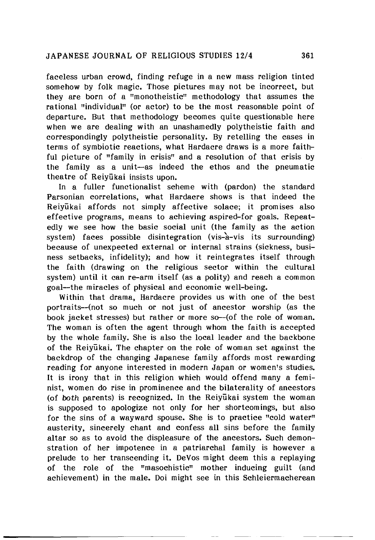faceless urban crowd, finding refuge in a new mass religion tinted somehow by folk magic. Those pictures may not be incorrect, but they are born of a "monotheistic" methodology that assumes the rational "individual" (or actor) to be the most reasonable point of departure. But that methodology becomes quite questionable here when we are dealing with an unashamedly polytheistic faith and correspondingly polytheistic personality. By retelling the cases in terms of symbiotic reactions, what Hardacre draws is a more faithful picture of "family in crisis" and a resolution of that crisis by the family as a unit— as indeed the ethos and the pneumatic theatre of Reivukai insists upon.

In a fuller functionalist scheme with (pardon) the standard Parsonian correlations, what Hardacre shows is that indeed the Reiyukai affords not simply affective solace; it promises also effective programs, means to achieving aspired-for goals. Repeatedly we see how the basic social unit (the family as the action system) faces possible disintegration (vis- $a$ -vis its surrounding) because of unexpected external or internal strains (sickness, business setbacks, infidelity); and how it reintegrates itself through the faith (drawing on the religious sector within the cultural system) until it can re-arm itself (as a polity) and reach a common goal— the miracles of physical and economic well-being.

Within that drama, Hardacre provides us with one of the best portraits— (not so much or not just of ancestor worship (as the book jacket stresses) but rather or more so--(of the role of woman. The woman is often the agent through whom the faith is accepted by the whole family. She is also the local leader and the backbone of the Reiyukai. The chapter on the role of woman set against the backdrop of the changing Japanese family affords most rewarding reading for anyone interested in modern Japan or women's studies. It is irony that in this religion which would offend many a feminist, women do rise in prominence and the bilaterality of ancestors (of *both* parents) is recognized. In the Reiyukai system the woman is supposed to apologize not only for her shortcomings, but also for the sins of a wayward spouse. She is to practice "cold water" austerity, sincerely chant and confess all sins before the family altar so as to avoid the displeasure of the ancestors. Such demonstration of her impotence in a patriarchal family is however a prelude to her transcending it. DeVos might deem this a replaying of the role of the "masochistic" mother inducing guilt (and achievement) in the male. Doi might see in this Schleiermacherean